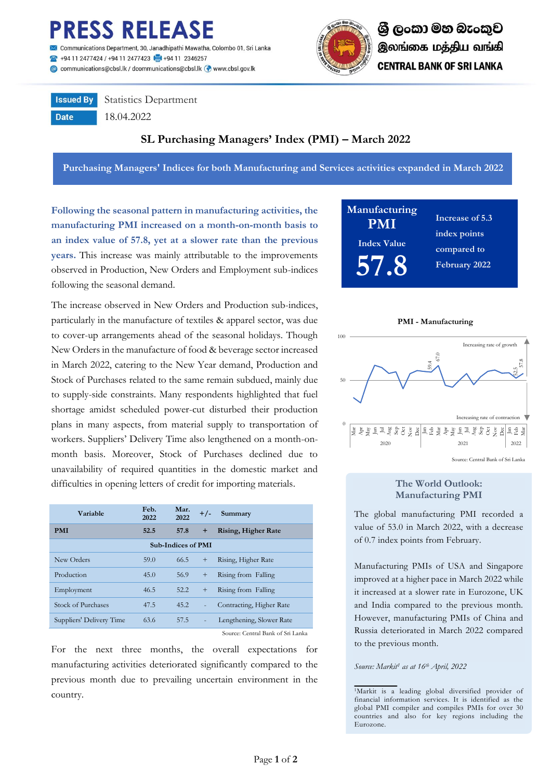

Communications Department, 30, Janadhipathi Mawatha, Colombo 01, Sri Lanka 494 11 2477424 / +94 11 2477423 +94 11 2346257 @ communications@cbsl.lk / dcommunications@cbsl.lk @ www.cbsl.gov.lk



**Issued By Date** 

Statistics Department

18.04.2022

# **SL Purchasing Managers' Index (PMI) – March 2022**

**Purchasing Managers' Indices for both Manufacturing and Services activities expanded in March 2022**

**Following the seasonal pattern in manufacturing activities, the manufacturing PMI increased on a month-on-month basis to an index value of 57.8, yet at a slower rate than the previous years.** This increase was mainly attributable to the improvements observed in Production, New Orders and Employment sub-indices following the seasonal demand.

The increase observed in New Orders and Production sub-indices, particularly in the manufacture of textiles & apparel sector, was due to cover-up arrangements ahead of the seasonal holidays. Though New Orders in the manufacture of food & beverage sector increased in March 2022, catering to the New Year demand, Production and Stock of Purchases related to the same remain subdued, mainly due to supply-side constraints. Many respondents highlighted that fuel shortage amidst scheduled power-cut disturbed their production plans in many aspects, from material supply to transportation of workers. Suppliers' Delivery Time also lengthened on a month-onmonth basis. Moreover, Stock of Purchases declined due to unavailability of required quantities in the domestic market and difficulties in opening letters of credit for importing materials.

| <b>Variable</b>           | Feb.<br>2022 | Mar.<br>2022 | $+/-$                    | Summary                            |  |  |  |
|---------------------------|--------------|--------------|--------------------------|------------------------------------|--|--|--|
| <b>PMI</b>                | 52.5         | 57.8         | $\pm$                    | <b>Rising, Higher Rate</b>         |  |  |  |
| <b>Sub-Indices of PMI</b> |              |              |                          |                                    |  |  |  |
| New Orders                | 59.0         | 66.5         | $\ddot{}$                | Rising, Higher Rate                |  |  |  |
| Production                | 45.0         | 56.9         | $\ddot{}$                | Rising from Falling                |  |  |  |
| Employment                | 46.5         | 52.2         | $\ddot{}$                | Rising from Falling                |  |  |  |
| <b>Stock of Purchases</b> | 47.5         | 45.2         | $\overline{\phantom{0}}$ | Contracting, Higher Rate           |  |  |  |
| Suppliers' Delivery Time  | 63.6         | 57.5         | ÷,                       | Lengthening, Slower Rate           |  |  |  |
|                           |              |              |                          | $\alpha$ and $\alpha$ and $\alpha$ |  |  |  |

Source: Central Bank of Sri Lanka

For the next three months, the overall expectations for manufacturing activities deteriorated significantly compared to the previous month due to prevailing uncertain environment in the country.





## **The World Outlook: Manufacturing PMI**

The global manufacturing PMI recorded a value of 53.0 in March 2022, with a decrease of 0.7 index points from February.

Manufacturing PMIs of USA and Singapore improved at a higher pace in March 2022 while it increased at a slower rate in Eurozone, UK and India compared to the previous month. However, manufacturing PMIs of China and Russia deteriorated in March 2022 compared to the previous month.

*Source: Markit<sup>1</sup> as at 16th April, 2022*

<sup>1</sup>Markit is a leading global diversified provider of financial information services. It is identified as the global PMI compiler and compiles PMIs for over 30 countries and also for key regions including the Eurozone.